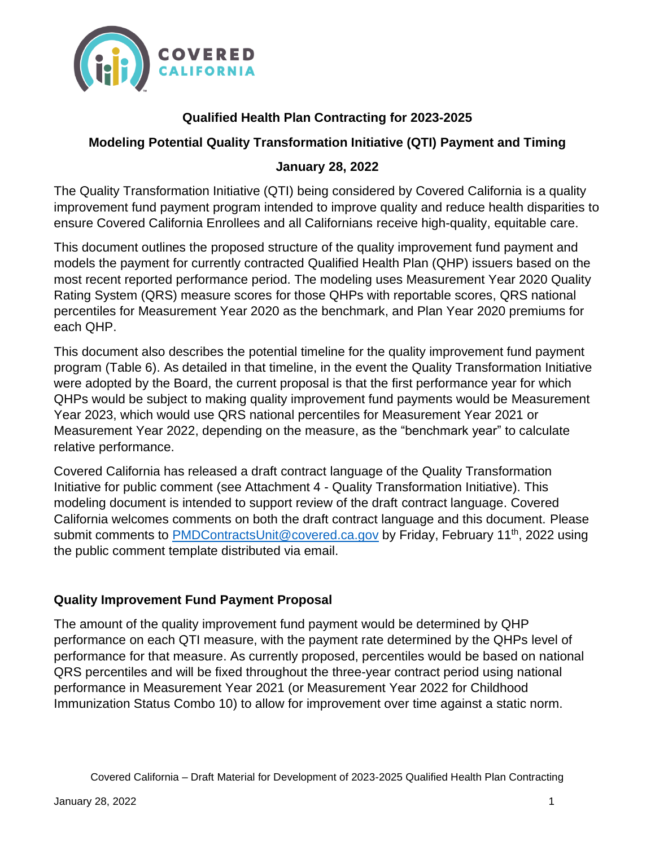

# **Qualified Health Plan Contracting for 2023-2025**

## **Modeling Potential Quality Transformation Initiative (QTI) Payment and Timing**

#### **January 28, 2022**

The Quality Transformation Initiative (QTI) being considered by Covered California is a quality improvement fund payment program intended to improve quality and reduce health disparities to ensure Covered California Enrollees and all Californians receive high-quality, equitable care.

This document outlines the proposed structure of the quality improvement fund payment and models the payment for currently contracted Qualified Health Plan (QHP) issuers based on the most recent reported performance period. The modeling uses Measurement Year 2020 Quality Rating System (QRS) measure scores for those QHPs with reportable scores, QRS national percentiles for Measurement Year 2020 as the benchmark, and Plan Year 2020 premiums for each QHP.

This document also describes the potential timeline for the quality improvement fund payment program (Table 6). As detailed in that timeline, in the event the Quality Transformation Initiative were adopted by the Board, the current proposal is that the first performance year for which QHPs would be subject to making quality improvement fund payments would be Measurement Year 2023, which would use QRS national percentiles for Measurement Year 2021 or Measurement Year 2022, depending on the measure, as the "benchmark year" to calculate relative performance.

Covered California has released a draft contract language of the Quality Transformation Initiative for public comment (see Attachment 4 - Quality Transformation Initiative). This modeling document is intended to support review of the draft contract language. Covered California welcomes comments on both the draft contract language and this document. Please submit comments to [PMDContractsUnit@covered.ca.gov](mailto:PMDContractsUnit@covered.ca.gov) by Friday, February 11<sup>th</sup>, 2022 using the public comment template distributed via email.

#### **Quality Improvement Fund Payment Proposal**

The amount of the quality improvement fund payment would be determined by QHP performance on each QTI measure, with the payment rate determined by the QHPs level of performance for that measure. As currently proposed, percentiles would be based on national QRS percentiles and will be fixed throughout the three-year contract period using national performance in Measurement Year 2021 (or Measurement Year 2022 for Childhood Immunization Status Combo 10) to allow for improvement over time against a static norm.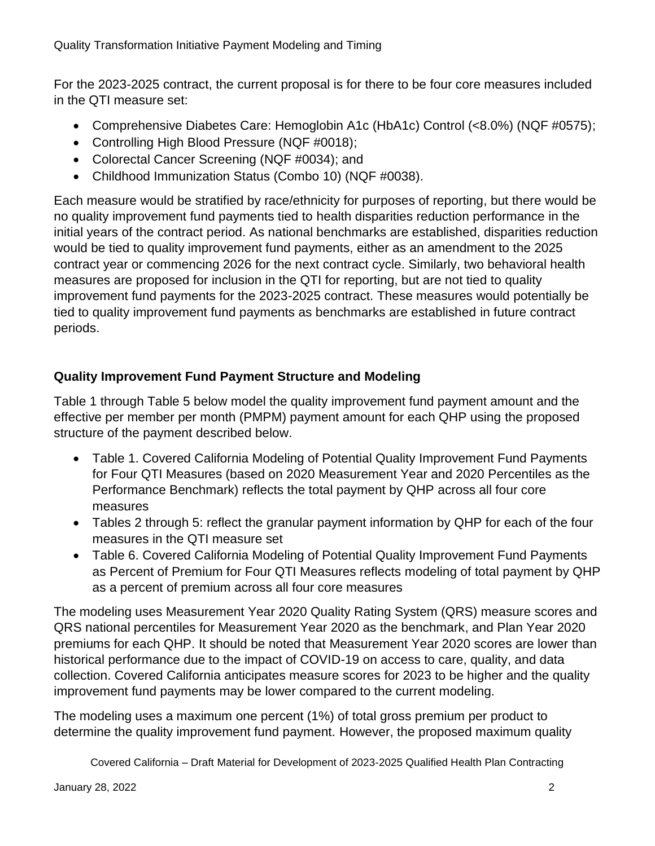For the 2023-2025 contract, the current proposal is for there to be four core measures included in the QTI measure set:

- Comprehensive Diabetes Care: Hemoglobin A1c (HbA1c) Control (<8.0%) (NQF #0575);
- Controlling High Blood Pressure (NQF #0018);
- Colorectal Cancer Screening (NQF #0034); and
- Childhood Immunization Status (Combo 10) (NQF #0038).

Each measure would be stratified by race/ethnicity for purposes of reporting, but there would be no quality improvement fund payments tied to health disparities reduction performance in the initial years of the contract period. As national benchmarks are established, disparities reduction would be tied to quality improvement fund payments, either as an amendment to the 2025 contract year or commencing 2026 for the next contract cycle. Similarly, two behavioral health measures are proposed for inclusion in the QTI for reporting, but are not tied to quality improvement fund payments for the 2023-2025 contract. These measures would potentially be tied to quality improvement fund payments as benchmarks are established in future contract periods.

# **Quality Improvement Fund Payment Structure and Modeling**

Table 1 through Table 5 below model the quality improvement fund payment amount and the effective per member per month (PMPM) payment amount for each QHP using the proposed structure of the payment described below.

- Table 1. Covered California Modeling of Potential Quality Improvement Fund Payments for Four QTI Measures (based on 2020 Measurement Year and 2020 Percentiles as the Performance Benchmark) reflects the total payment by QHP across all four core measures
- Tables 2 through 5: reflect the granular payment information by QHP for each of the four measures in the QTI measure set
- Table 6. Covered California Modeling of Potential Quality Improvement Fund Payments as Percent of Premium for Four QTI Measures reflects modeling of total payment by QHP as a percent of premium across all four core measures

The modeling uses Measurement Year 2020 Quality Rating System (QRS) measure scores and QRS national percentiles for Measurement Year 2020 as the benchmark, and Plan Year 2020 premiums for each QHP. It should be noted that Measurement Year 2020 scores are lower than historical performance due to the impact of COVID-19 on access to care, quality, and data collection. Covered California anticipates measure scores for 2023 to be higher and the quality improvement fund payments may be lower compared to the current modeling.

The modeling uses a maximum one percent (1%) of total gross premium per product to determine the quality improvement fund payment. However, the proposed maximum quality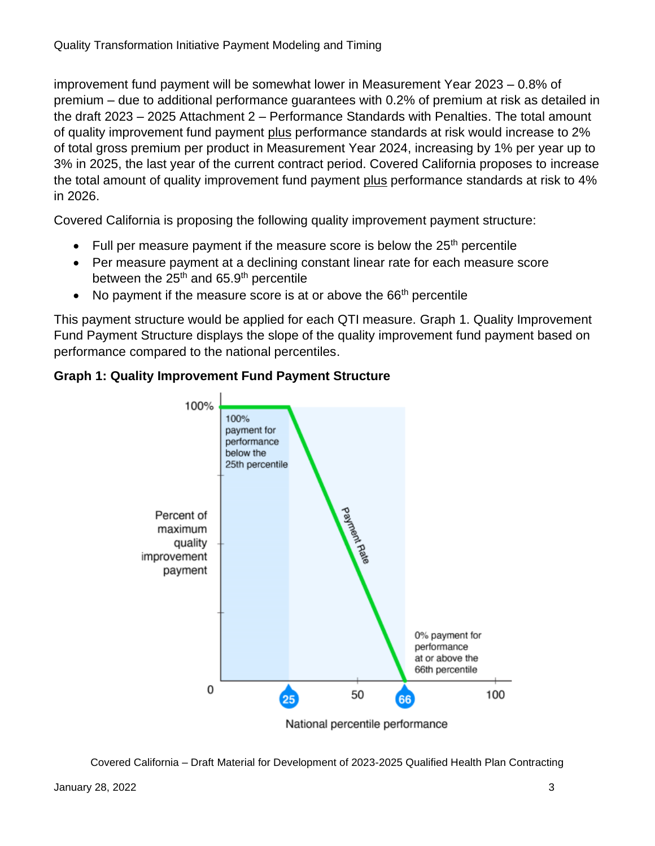improvement fund payment will be somewhat lower in Measurement Year 2023 – 0.8% of premium – due to additional performance guarantees with 0.2% of premium at risk as detailed in the draft 2023 – 2025 Attachment 2 – Performance Standards with Penalties. The total amount of quality improvement fund payment plus performance standards at risk would increase to 2% of total gross premium per product in Measurement Year 2024, increasing by 1% per year up to 3% in 2025, the last year of the current contract period. Covered California proposes to increase the total amount of quality improvement fund payment plus performance standards at risk to 4% in 2026.

Covered California is proposing the following quality improvement payment structure:

- Full per measure payment if the measure score is below the  $25<sup>th</sup>$  percentile
- Per measure payment at a declining constant linear rate for each measure score between the  $25<sup>th</sup>$  and 65.9<sup>th</sup> percentile
- No payment if the measure score is at or above the  $66<sup>th</sup>$  percentile

This payment structure would be applied for each QTI measure. Graph 1. Quality Improvement Fund Payment Structure displays the slope of the quality improvement fund payment based on performance compared to the national percentiles.



#### **Graph 1: Quality Improvement Fund Payment Structure**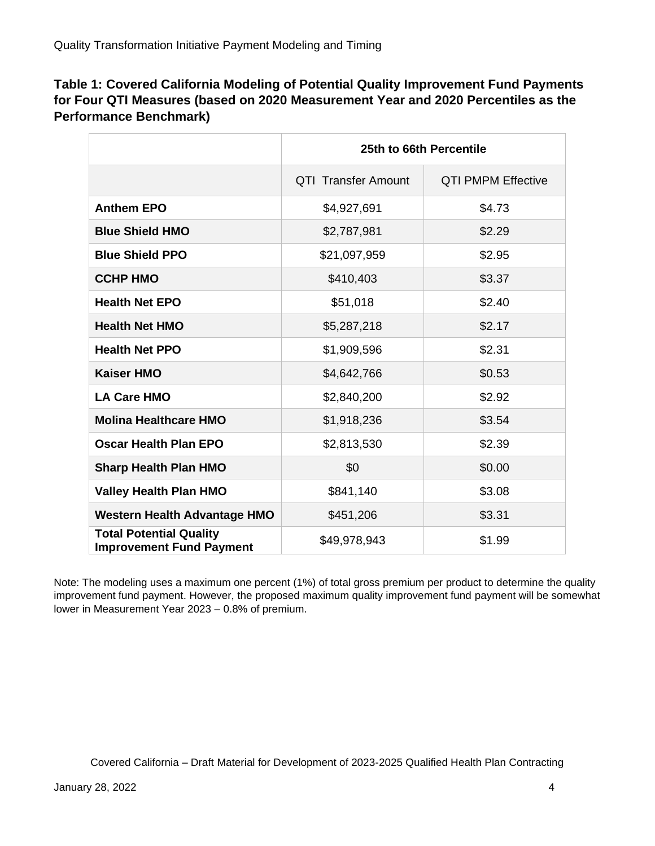#### **Table 1: Covered California Modeling of Potential Quality Improvement Fund Payments for Four QTI Measures (based on 2020 Measurement Year and 2020 Percentiles as the Performance Benchmark)**

|                                                                   | 25th to 66th Percentile    |                           |  |
|-------------------------------------------------------------------|----------------------------|---------------------------|--|
|                                                                   | <b>QTI Transfer Amount</b> | <b>QTI PMPM Effective</b> |  |
| <b>Anthem EPO</b>                                                 | \$4,927,691                | \$4.73                    |  |
| <b>Blue Shield HMO</b>                                            | \$2,787,981                | \$2.29                    |  |
| <b>Blue Shield PPO</b>                                            | \$21,097,959               | \$2.95                    |  |
| <b>CCHP HMO</b>                                                   | \$410,403                  | \$3.37                    |  |
| <b>Health Net EPO</b>                                             | \$51,018                   | \$2.40                    |  |
| <b>Health Net HMO</b>                                             | \$5,287,218                | \$2.17                    |  |
| <b>Health Net PPO</b>                                             | \$1,909,596                | \$2.31                    |  |
| <b>Kaiser HMO</b>                                                 | \$4,642,766                | \$0.53                    |  |
| <b>LA Care HMO</b>                                                | \$2,840,200                | \$2.92                    |  |
| <b>Molina Healthcare HMO</b>                                      | \$1,918,236                | \$3.54                    |  |
| Oscar Health Plan EPO                                             | \$2,813,530                | \$2.39                    |  |
| <b>Sharp Health Plan HMO</b>                                      | \$0                        | \$0.00                    |  |
| <b>Valley Health Plan HMO</b>                                     | \$841,140                  | \$3.08                    |  |
| <b>Western Health Advantage HMO</b>                               | \$451,206                  | \$3.31                    |  |
| <b>Total Potential Quality</b><br><b>Improvement Fund Payment</b> | \$49,978,943<br>\$1.99     |                           |  |

Note: The modeling uses a maximum one percent (1%) of total gross premium per product to determine the quality improvement fund payment. However, the proposed maximum quality improvement fund payment will be somewhat lower in Measurement Year 2023 – 0.8% of premium.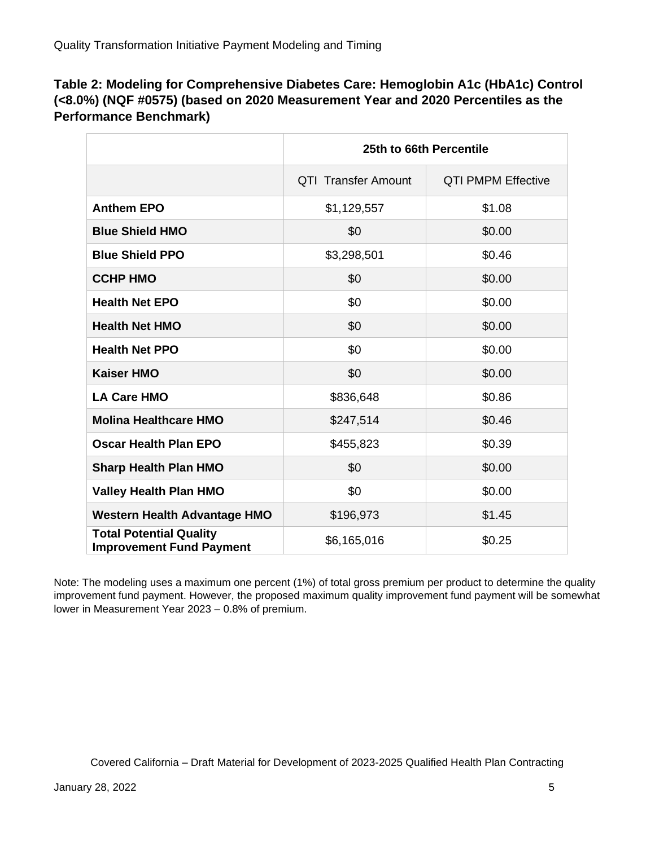#### **Table 2: Modeling for Comprehensive Diabetes Care: Hemoglobin A1c (HbA1c) Control (<8.0%) (NQF #0575) (based on 2020 Measurement Year and 2020 Percentiles as the Performance Benchmark)**

|                                                                   | 25th to 66th Percentile    |                           |  |
|-------------------------------------------------------------------|----------------------------|---------------------------|--|
|                                                                   | <b>QTI Transfer Amount</b> | <b>QTI PMPM Effective</b> |  |
| <b>Anthem EPO</b>                                                 | \$1,129,557                | \$1.08                    |  |
| <b>Blue Shield HMO</b>                                            | \$0                        | \$0.00                    |  |
| <b>Blue Shield PPO</b>                                            | \$3,298,501                | \$0.46                    |  |
| <b>CCHP HMO</b>                                                   | \$0                        | \$0.00                    |  |
| <b>Health Net EPO</b>                                             | \$0                        | \$0.00                    |  |
| <b>Health Net HMO</b>                                             | \$0                        | \$0.00                    |  |
| <b>Health Net PPO</b>                                             | \$0                        | \$0.00                    |  |
| <b>Kaiser HMO</b>                                                 | \$0                        | \$0.00                    |  |
| <b>LA Care HMO</b>                                                | \$836,648                  | \$0.86                    |  |
| <b>Molina Healthcare HMO</b>                                      | \$247,514                  | \$0.46                    |  |
| <b>Oscar Health Plan EPO</b>                                      | \$455,823                  | \$0.39                    |  |
| <b>Sharp Health Plan HMO</b>                                      | \$0                        | \$0.00                    |  |
| <b>Valley Health Plan HMO</b>                                     | \$0                        | \$0.00                    |  |
| <b>Western Health Advantage HMO</b>                               | \$196,973<br>\$1.45        |                           |  |
| <b>Total Potential Quality</b><br><b>Improvement Fund Payment</b> | \$6,165,016                | \$0.25                    |  |

Note: The modeling uses a maximum one percent (1%) of total gross premium per product to determine the quality improvement fund payment. However, the proposed maximum quality improvement fund payment will be somewhat lower in Measurement Year 2023 – 0.8% of premium.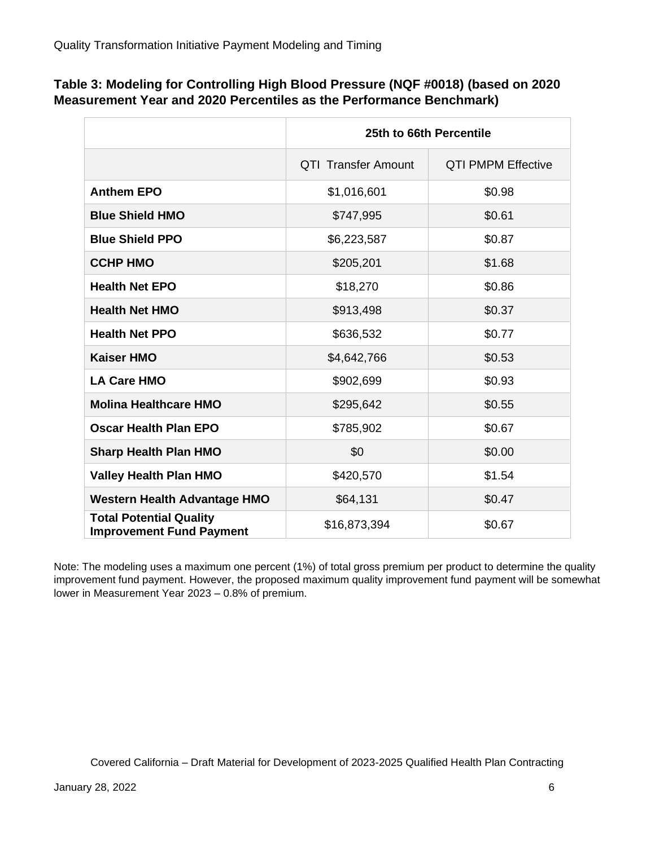| Table 3: Modeling for Controlling High Blood Pressure (NQF #0018) (based on 2020 |  |
|----------------------------------------------------------------------------------|--|
| Measurement Year and 2020 Percentiles as the Performance Benchmark)              |  |

|                                                                   | 25th to 66th Percentile    |                           |  |
|-------------------------------------------------------------------|----------------------------|---------------------------|--|
|                                                                   | <b>QTI Transfer Amount</b> | <b>QTI PMPM Effective</b> |  |
| <b>Anthem EPO</b>                                                 | \$1,016,601                | \$0.98                    |  |
| <b>Blue Shield HMO</b>                                            | \$747,995                  | \$0.61                    |  |
| <b>Blue Shield PPO</b>                                            | \$0.87<br>\$6,223,587      |                           |  |
| <b>CCHP HMO</b>                                                   | \$205,201                  | \$1.68                    |  |
| <b>Health Net EPO</b>                                             | \$18,270                   | \$0.86                    |  |
| <b>Health Net HMO</b>                                             | \$913,498                  | \$0.37                    |  |
| <b>Health Net PPO</b>                                             | \$636,532                  | \$0.77                    |  |
| <b>Kaiser HMO</b>                                                 | \$4,642,766                | \$0.53                    |  |
| <b>LA Care HMO</b>                                                | \$0.93<br>\$902,699        |                           |  |
| <b>Molina Healthcare HMO</b>                                      | \$295,642<br>\$0.55        |                           |  |
| <b>Oscar Health Plan EPO</b>                                      | \$785,902<br>\$0.67        |                           |  |
| <b>Sharp Health Plan HMO</b>                                      | \$0                        | \$0.00                    |  |
| <b>Valley Health Plan HMO</b>                                     | \$420,570                  | \$1.54                    |  |
| <b>Western Health Advantage HMO</b>                               | \$64,131<br>\$0.47         |                           |  |
| <b>Total Potential Quality</b><br><b>Improvement Fund Payment</b> | \$16,873,394<br>\$0.67     |                           |  |

Note: The modeling uses a maximum one percent (1%) of total gross premium per product to determine the quality improvement fund payment. However, the proposed maximum quality improvement fund payment will be somewhat lower in Measurement Year 2023 – 0.8% of premium.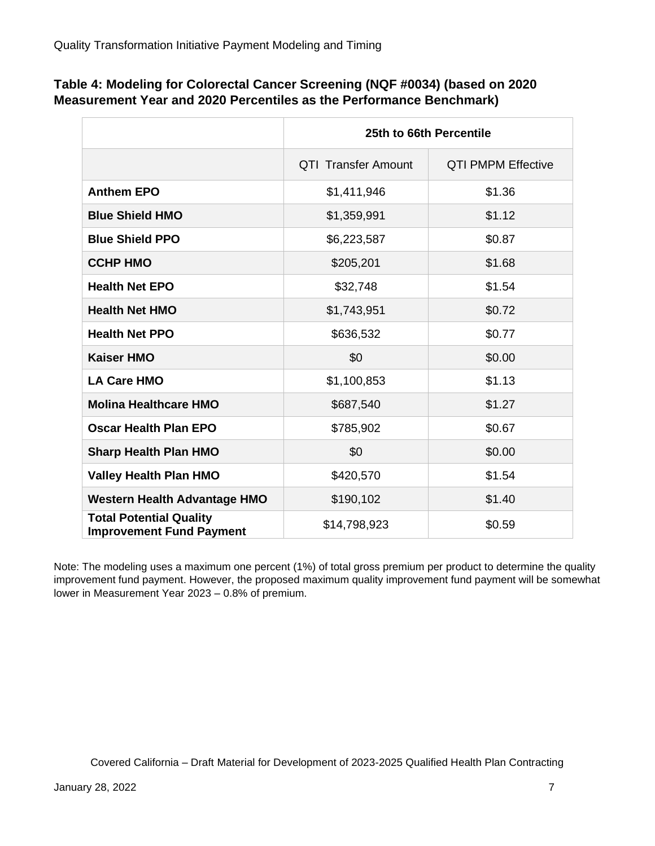| Table 4: Modeling for Colorectal Cancer Screening (NQF #0034) (based on 2020 |  |
|------------------------------------------------------------------------------|--|
| Measurement Year and 2020 Percentiles as the Performance Benchmark)          |  |

|                                                                   | 25th to 66th Percentile    |                           |  |
|-------------------------------------------------------------------|----------------------------|---------------------------|--|
|                                                                   | <b>QTI Transfer Amount</b> | <b>QTI PMPM Effective</b> |  |
| <b>Anthem EPO</b>                                                 | \$1,411,946                | \$1.36                    |  |
| <b>Blue Shield HMO</b>                                            | \$1,359,991                | \$1.12                    |  |
| <b>Blue Shield PPO</b>                                            | \$0.87<br>\$6,223,587      |                           |  |
| <b>CCHP HMO</b>                                                   | \$205,201                  | \$1.68                    |  |
| <b>Health Net EPO</b>                                             | \$32,748                   | \$1.54                    |  |
| <b>Health Net HMO</b>                                             | \$1,743,951                | \$0.72                    |  |
| <b>Health Net PPO</b>                                             | \$636,532                  | \$0.77                    |  |
| <b>Kaiser HMO</b>                                                 | \$0                        | \$0.00                    |  |
| <b>LA Care HMO</b>                                                | \$1.13<br>\$1,100,853      |                           |  |
| <b>Molina Healthcare HMO</b>                                      | \$687,540                  | \$1.27                    |  |
| <b>Oscar Health Plan EPO</b>                                      | \$785,902                  | \$0.67                    |  |
| <b>Sharp Health Plan HMO</b>                                      | \$0                        | \$0.00                    |  |
| <b>Valley Health Plan HMO</b>                                     | \$420,570                  | \$1.54                    |  |
| <b>Western Health Advantage HMO</b>                               | \$190,102<br>\$1.40        |                           |  |
| <b>Total Potential Quality</b><br><b>Improvement Fund Payment</b> | \$14,798,923               | \$0.59                    |  |

Note: The modeling uses a maximum one percent (1%) of total gross premium per product to determine the quality improvement fund payment. However, the proposed maximum quality improvement fund payment will be somewhat lower in Measurement Year 2023 – 0.8% of premium.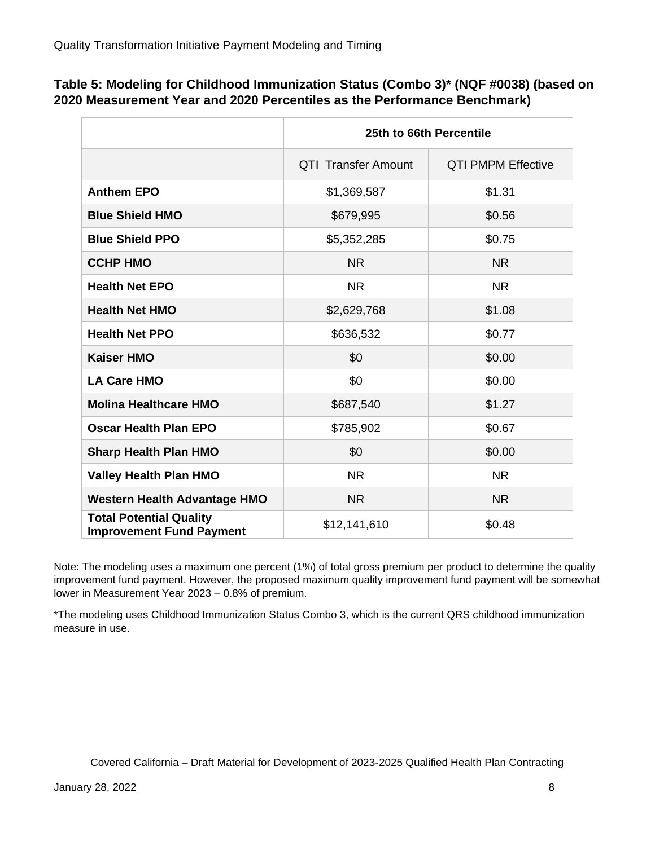| Table 5: Modeling for Childhood Immunization Status (Combo 3)* (NQF #0038) (based on |
|--------------------------------------------------------------------------------------|
| 2020 Measurement Year and 2020 Percentiles as the Performance Benchmark)             |

|                                                                   | 25th to 66th Percentile    |                           |  |  |
|-------------------------------------------------------------------|----------------------------|---------------------------|--|--|
|                                                                   | <b>QTI Transfer Amount</b> | <b>QTI PMPM Effective</b> |  |  |
| <b>Anthem EPO</b>                                                 | \$1,369,587                | \$1.31                    |  |  |
| <b>Blue Shield HMO</b>                                            | \$679,995                  | \$0.56                    |  |  |
| <b>Blue Shield PPO</b>                                            | \$0.75<br>\$5,352,285      |                           |  |  |
| <b>CCHP HMO</b>                                                   | <b>NR</b><br><b>NR</b>     |                           |  |  |
| <b>Health Net EPO</b>                                             | <b>NR</b>                  | <b>NR</b>                 |  |  |
| <b>Health Net HMO</b>                                             | \$2,629,768                | \$1.08                    |  |  |
| <b>Health Net PPO</b>                                             | \$636,532                  | \$0.77                    |  |  |
| <b>Kaiser HMO</b>                                                 | \$0                        | \$0.00                    |  |  |
| <b>LA Care HMO</b>                                                | \$0<br>\$0.00              |                           |  |  |
| <b>Molina Healthcare HMO</b>                                      | \$1.27<br>\$687,540        |                           |  |  |
| <b>Oscar Health Plan EPO</b>                                      | \$785,902<br>\$0.67        |                           |  |  |
| <b>Sharp Health Plan HMO</b>                                      | \$0                        | \$0.00                    |  |  |
| <b>Valley Health Plan HMO</b>                                     | <b>NR</b>                  | <b>NR</b>                 |  |  |
| <b>Western Health Advantage HMO</b>                               | <b>NR</b><br><b>NR</b>     |                           |  |  |
| <b>Total Potential Quality</b><br><b>Improvement Fund Payment</b> | \$0.48<br>\$12,141,610     |                           |  |  |

Note: The modeling uses a maximum one percent (1%) of total gross premium per product to determine the quality improvement fund payment. However, the proposed maximum quality improvement fund payment will be somewhat lower in Measurement Year 2023 – 0.8% of premium.

\*The modeling uses Childhood Immunization Status Combo 3, which is the current QRS childhood immunization measure in use.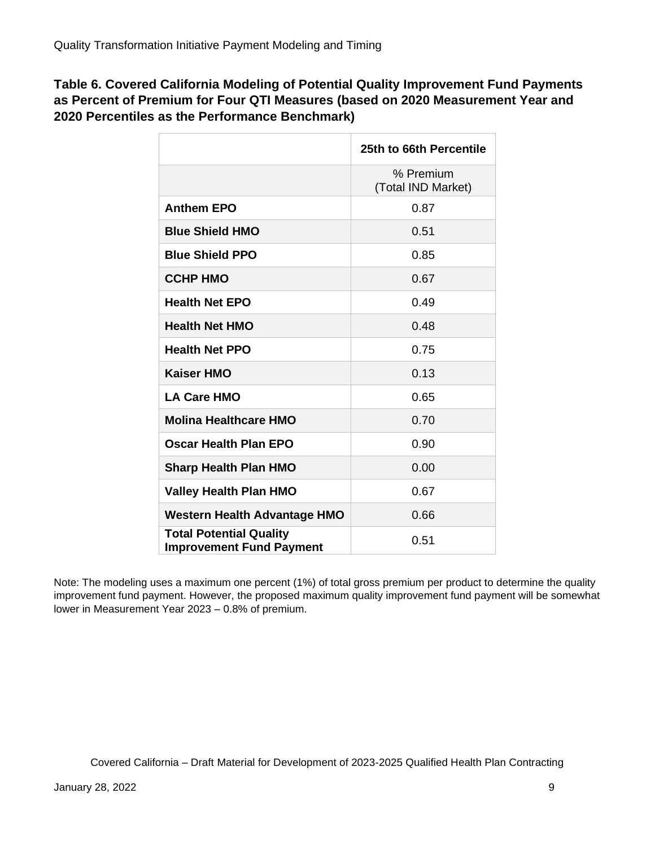**Table 6. Covered California Modeling of Potential Quality Improvement Fund Payments as Percent of Premium for Four QTI Measures (based on 2020 Measurement Year and 2020 Percentiles as the Performance Benchmark)**

|                                                                   | 25th to 66th Percentile         |
|-------------------------------------------------------------------|---------------------------------|
|                                                                   | % Premium<br>(Total IND Market) |
| <b>Anthem EPO</b>                                                 | 0.87                            |
| <b>Blue Shield HMO</b>                                            | 0.51                            |
| <b>Blue Shield PPO</b>                                            | 0.85                            |
| <b>CCHP HMO</b>                                                   | 0.67                            |
| <b>Health Net EPO</b>                                             | 0.49                            |
| <b>Health Net HMO</b>                                             | 0.48                            |
| <b>Health Net PPO</b>                                             | 0.75                            |
| <b>Kaiser HMO</b>                                                 | 0.13                            |
| <b>LA Care HMO</b>                                                | 0.65                            |
| <b>Molina Healthcare HMO</b>                                      | 0.70                            |
| Oscar Health Plan EPO                                             | 0.90                            |
| <b>Sharp Health Plan HMO</b>                                      | 0.00                            |
| <b>Valley Health Plan HMO</b>                                     | 0.67                            |
| <b>Western Health Advantage HMO</b>                               | 0.66                            |
| <b>Total Potential Quality</b><br><b>Improvement Fund Payment</b> | 0.51                            |

Note: The modeling uses a maximum one percent (1%) of total gross premium per product to determine the quality improvement fund payment. However, the proposed maximum quality improvement fund payment will be somewhat lower in Measurement Year 2023 – 0.8% of premium.